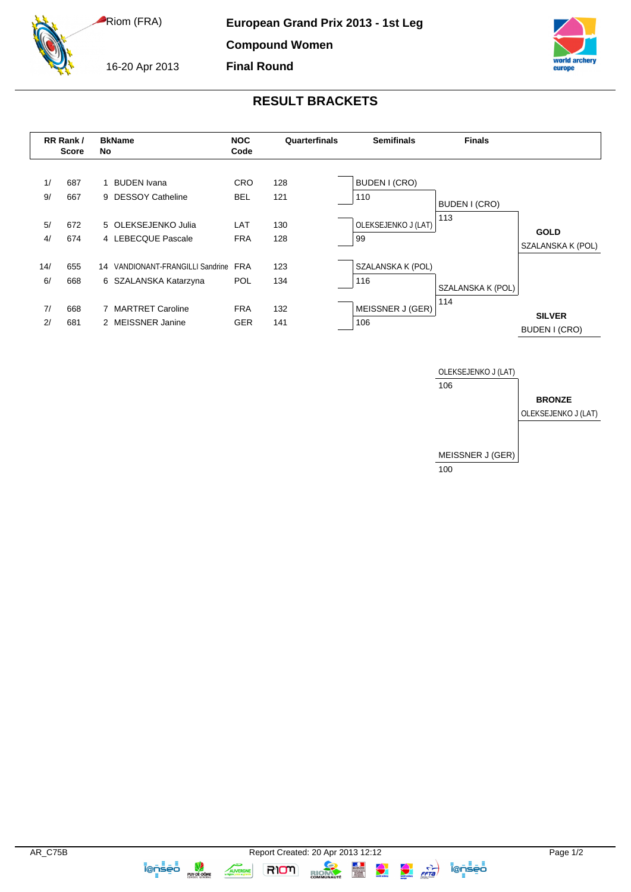Riom (FRA)

16-20 Apr 2013

**European Grand Prix 2013 - 1st Leg**

**Compound Women**

**Final Round**



## **RESULT BRACKETS**







 $\frac{1}{1}$ 

**RIOM** 

**IQOSED**